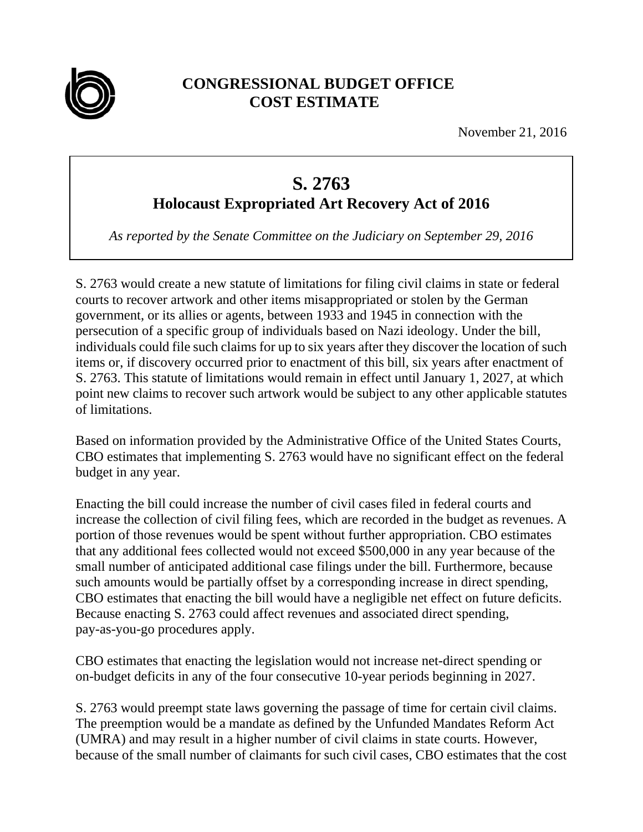

## **CONGRESSIONAL BUDGET OFFICE COST ESTIMATE**

November 21, 2016

## **S. 2763**

**Holocaust Expropriated Art Recovery Act of 2016** 

*As reported by the Senate Committee on the Judiciary on September 29, 2016* 

S. 2763 would create a new statute of limitations for filing civil claims in state or federal courts to recover artwork and other items misappropriated or stolen by the German government, or its allies or agents, between 1933 and 1945 in connection with the persecution of a specific group of individuals based on Nazi ideology. Under the bill, individuals could file such claims for up to six years after they discover the location of such items or, if discovery occurred prior to enactment of this bill, six years after enactment of S. 2763. This statute of limitations would remain in effect until January 1, 2027, at which point new claims to recover such artwork would be subject to any other applicable statutes of limitations.

Based on information provided by the Administrative Office of the United States Courts, CBO estimates that implementing S. 2763 would have no significant effect on the federal budget in any year.

Enacting the bill could increase the number of civil cases filed in federal courts and increase the collection of civil filing fees, which are recorded in the budget as revenues. A portion of those revenues would be spent without further appropriation. CBO estimates that any additional fees collected would not exceed \$500,000 in any year because of the small number of anticipated additional case filings under the bill. Furthermore, because such amounts would be partially offset by a corresponding increase in direct spending, CBO estimates that enacting the bill would have a negligible net effect on future deficits. Because enacting S. 2763 could affect revenues and associated direct spending, pay-as-you-go procedures apply.

CBO estimates that enacting the legislation would not increase net-direct spending or on-budget deficits in any of the four consecutive 10-year periods beginning in 2027.

S. 2763 would preempt state laws governing the passage of time for certain civil claims. The preemption would be a mandate as defined by the Unfunded Mandates Reform Act (UMRA) and may result in a higher number of civil claims in state courts. However, because of the small number of claimants for such civil cases, CBO estimates that the cost